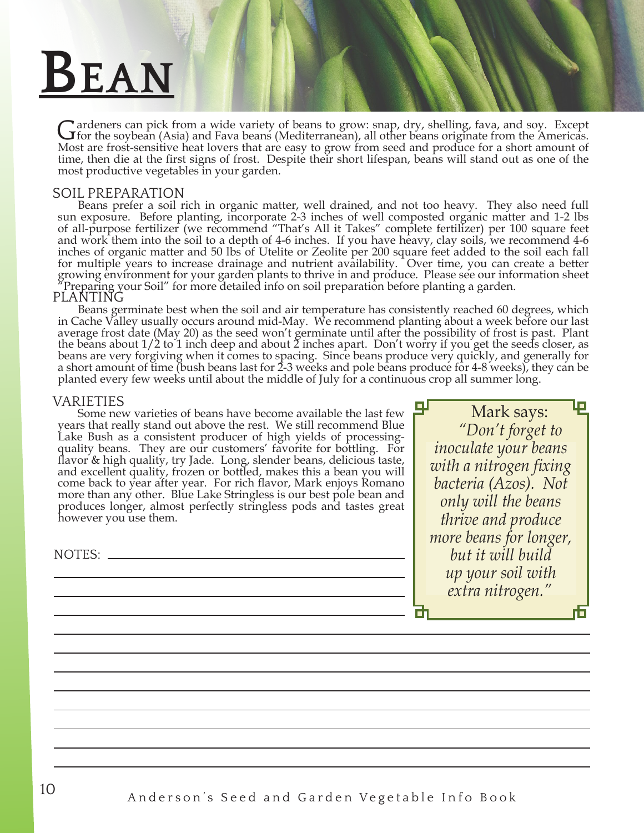# **Bean**

Gardeners can pick from a wide variety of beans to grow: snap, dry, shelling, fava, and soy. Except for the soybean (Asia) and Fava beans (Mediterranean), all other beans originate from the Americas. Most are frost-sensitive heat lovers that are easy to grow from seed and produce for a short amount of time, then die at the first signs of frost. Despite their short lifespan, beans will stand out as one of the most productive vegetables in your garden.

# SOIL PREPARATION

Beans prefer a soil rich in organic matter, well drained, and not too heavy. They also need full sun exposure. Before planting, incorporate 2-3 inches of well composted organic matter and 1-2 lbs of all-purpose fertilizer (we recommend "That's All it Takes" complete fertilizer) per 100 square feet and work them into the soil to a depth of 4-6 inches. If you have heavy, clay soils, we recommend 4-6 inches of organic matter and 50 lbs of Utelite or Zeolite per 200 square feet added to the soil each fall for multiple years to increase drainage and nutrient availability. Over time, you can create a better growing environment for your garden plants to thrive in and produce. Please see our information sheet Preparing your Soil" for more detailed info on soil preparation before planting a garden.

PLANTING<br>Beans germinate best when the soil and air temperature has consistently reached 60 degrees, which in Cache Valley usually occurs around mid-May. We recommend planting about a week before our last average frost date (May 20) as the seed won't germinate until after the possibility of frost is past. Plant the beans about  $1/2$  to 1 inch deep and about 2 inches apart. Don't worry if you get the seeds closer, as beans are very forgiving when it comes to spacing. Since beans produce very quickly, and generally for a short amount of time (bush beans last for 2-3 weeks and pole beans produce for 4-8 weeks), they can be planted every few weeks until about the middle of July for a continuous crop all summer long.

### VARIETIES

Some new varieties of beans have become available the last few years that really stand out above the rest. We still recommend Blue Lake Bush as a consistent producer of high yields of processingquality beans. They are our customers' favorite for bottling. For flavor & high quality, try Jade. Long, slender beans, delicious taste, and excellent quality, frozen or bottled, makes this a bean you will come back to year after year. For rich flavor, Mark enjoys Romano more than any other. Blue Lake Stringless is our best pole bean and produces longer, almost perfectly stringless pods and tastes great however you use them.

NOTES:

Mark says: *"Don't forget to inoculate your beans with a nitrogen fixing bacteria (Azos). Not only will the beans thrive and produce more beans for longer, but it will build up your soil with extra nitrogen."*